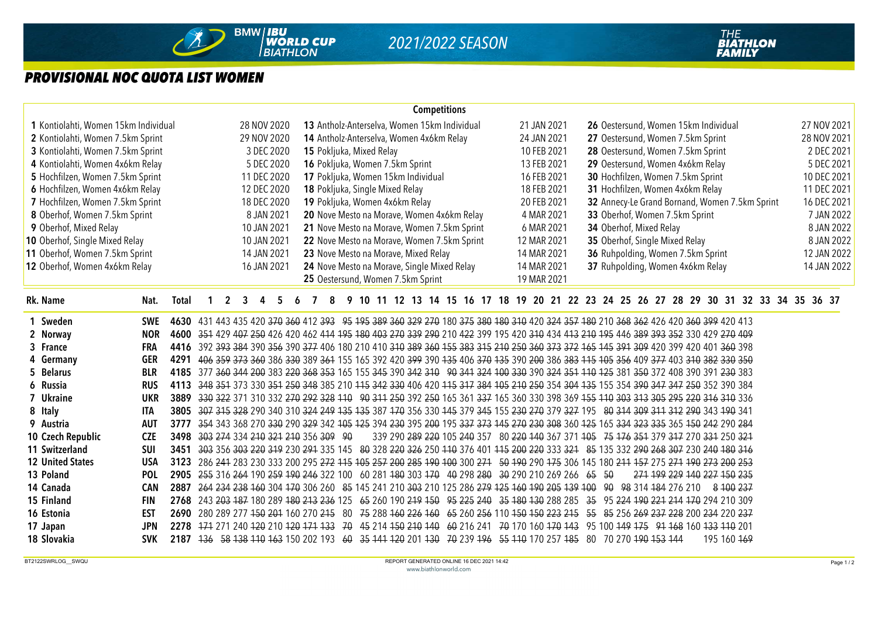

## *PROVISIONAL NOC QUOTA LIST WOMEN*

| <b>Competitions</b>                                                           |                                                                                                               |                                                                                                                                      |             |  |  |  |  |  |  |  |  |  |  |
|-------------------------------------------------------------------------------|---------------------------------------------------------------------------------------------------------------|--------------------------------------------------------------------------------------------------------------------------------------|-------------|--|--|--|--|--|--|--|--|--|--|
| 1 Kontiolahti, Women 15km Individual<br>28 NOV 2020                           | 13 Antholz-Anterselva, Women 15km Individual                                                                  | 21 JAN 2021<br>26 Oestersund, Women 15km Individual                                                                                  | 27 NOV 2021 |  |  |  |  |  |  |  |  |  |  |
| 2 Kontiolahti, Women 7.5km Sprint<br>29 NOV 2020                              | 14 Antholz-Anterselva, Women 4x6km Relay                                                                      | 27 Oestersund, Women 7.5km Sprint<br>24 JAN 2021                                                                                     | 28 NOV 2021 |  |  |  |  |  |  |  |  |  |  |
| 3 Kontiolahti, Women 7.5km Sprint<br>3 DEC 2020                               | 15 Pokljuka, Mixed Relay                                                                                      | 10 FEB 2021<br>28 Oestersund, Women 7.5km Sprint                                                                                     | 2 DEC 2021  |  |  |  |  |  |  |  |  |  |  |
| 4 Kontiolahti, Women 4x6km Relay<br>5 DEC 2020                                | 16 Pokljuka, Women 7.5km Sprint                                                                               | 29 Oestersund, Women 4x6km Relay<br>13 FEB 2021                                                                                      | 5 DEC 2021  |  |  |  |  |  |  |  |  |  |  |
| 5 Hochfilzen, Women 7.5km Sprint<br>11 DEC 2020                               | 17 Pokljuka, Women 15km Individual                                                                            | 30 Hochfilzen, Women 7.5km Sprint<br>16 FEB 2021                                                                                     | 10 DEC 2021 |  |  |  |  |  |  |  |  |  |  |
| 6 Hochfilzen, Women 4x6km Relay<br>12 DEC 2020                                | 18 Pokljuka, Single Mixed Relay                                                                               | 31 Hochfilzen, Women 4x6km Relay<br>18 FEB 2021                                                                                      | 11 DEC 2021 |  |  |  |  |  |  |  |  |  |  |
| 7 Hochfilzen, Women 7.5km Sprint<br>18 DEC 2020                               | 19 Pokljuka, Women 4x6km Relay                                                                                | 32 Annecy-Le Grand Bornand, Women 7.5km Sprint<br>20 FEB 2021                                                                        | 16 DEC 2021 |  |  |  |  |  |  |  |  |  |  |
| 8 Oberhof, Women 7.5km Sprint<br>8 JAN 2021                                   | 20 Nove Mesto na Morave, Women 4x6km Relay                                                                    | 4 MAR 2021<br>33 Oberhof, Women 7.5km Sprint                                                                                         | 7 JAN 2022  |  |  |  |  |  |  |  |  |  |  |
| 9 Oberhof, Mixed Relay<br>10 JAN 2021                                         | 21 Nove Mesto na Morave, Women 7.5km Sprint                                                                   | 34 Oberhof, Mixed Relay<br>6 MAR 2021                                                                                                | 8 JAN 2022  |  |  |  |  |  |  |  |  |  |  |
| 10 Oberhof, Single Mixed Relay<br>10 JAN 2021                                 | 22 Nove Mesto na Morave, Women 7.5km Sprint                                                                   | 35 Oberhof, Single Mixed Relay<br>12 MAR 2021                                                                                        | 8 JAN 2022  |  |  |  |  |  |  |  |  |  |  |
| 11 Oberhof, Women 7.5km Sprint<br>14 JAN 2021                                 | 23 Nove Mesto na Morave, Mixed Relay                                                                          | 36 Ruhpolding, Women 7.5km Sprint<br>14 MAR 2021                                                                                     | 12 JAN 2022 |  |  |  |  |  |  |  |  |  |  |
| 12 Oberhof, Women 4x6km Relay<br>16 JAN 2021                                  | 24 Nove Mesto na Morave, Single Mixed Relay                                                                   | 37 Ruhpolding, Women 4x6km Relay<br>14 MAR 2021                                                                                      | 14 JAN 2022 |  |  |  |  |  |  |  |  |  |  |
|                                                                               | 25 Oestersund, Women 7.5km Sprint                                                                             | 19 MAR 2021                                                                                                                          |             |  |  |  |  |  |  |  |  |  |  |
| Rk. Name<br>Nat.<br>Total<br>$\overline{2}$<br>3<br>4<br>5                    | 8                                                                                                             | 9 10 11 12 13 14 15 16 17 18 19 20 21 22 23 24 25 26 27 28 29 30 31 32 33 34 35 36 37                                                |             |  |  |  |  |  |  |  |  |  |  |
| 1 Sweden<br><b>SWE</b>                                                        |                                                                                                               | 4630 431 443 435 420 370 360 412 393 95 195 389 360 329 270 180 375 380 180 310 420 324 357 180 210 368 362 426 420 360 399 420 413  |             |  |  |  |  |  |  |  |  |  |  |
| 2 Norway<br><b>NOR</b>                                                        |                                                                                                               | 4600 351 429 407 250 426 420 462 414 195 180 403 270 339 290 210 422 399 195 420 310 434 413 210 195 446 389 393 352 330 429 270 409 |             |  |  |  |  |  |  |  |  |  |  |
| 3 France<br><b>FRA</b>                                                        |                                                                                                               | 4416 392 393 384 390 356 390 377 406 180 210 410 310 389 360 155 383 315 210 250 360 373 372 165 145 391 309 420 399 420 401 360 398 |             |  |  |  |  |  |  |  |  |  |  |
| <b>GER</b><br>4291<br>4 Germany                                               |                                                                                                               | 406 359 373 360 386 330 389 364 155 165 392 420 399 390 135 406 370 135 390 200 386 383 115 105 356 409 377 403 310 382 330 350      |             |  |  |  |  |  |  |  |  |  |  |
| 5 Belarus<br><b>BLR</b>                                                       |                                                                                                               | 4185 377 360 344 200 383 220 368 353 165 155 345 390 342 310 90 341 324 100 330 390 324 351 110 125 381 350 372 408 390 391 230 383  |             |  |  |  |  |  |  |  |  |  |  |
| 6 Russia<br><b>RUS</b>                                                        |                                                                                                               | 4113 348 351 373 330 354 250 348 385 210 415 342 330 406 420 415 317 384 405 210 250 354 304 435 155 354 390 347 347 250 352 390 384 |             |  |  |  |  |  |  |  |  |  |  |
| 7 Ukraine<br><b>UKR</b><br>3889                                               |                                                                                                               | 330 322 371 310 332 270 292 328 110 90 311 250 392 250 165 361 337 165 360 330 398 369 155 110 303 313 305 295 220 316 310 336       |             |  |  |  |  |  |  |  |  |  |  |
| 8 Italy<br><b>ITA</b><br>3805                                                 |                                                                                                               | 307 314 328 290 340 310 324 249 135 135 387 170 356 330 145 379 345 155 230 270 379 327 195 80 314 309 311 312 290 343 190 341       |             |  |  |  |  |  |  |  |  |  |  |
| 9 Austria<br><b>AUT</b><br>3777                                               |                                                                                                               | 354 343 368 270 330 290 329 342 105 125 394 230 395 200 195 337 373 145 270 230 308 360 125 165 334 323 335 365 150 242 290 284      |             |  |  |  |  |  |  |  |  |  |  |
| 10 Czech Republic<br><b>CZE</b><br>3498<br>303 274 334 210 321 210 356 309 90 |                                                                                                               | 339 290 289 220 105 240 357 80 220 140 367 371 105 75 176 351 379 317 270 331 250 321                                                |             |  |  |  |  |  |  |  |  |  |  |
| 11 Switzerland<br>SUI<br>3451                                                 |                                                                                                               | 303 356 303 220 319 230 291 335 145 80 328 220 326 250 110 376 401 115 200 220 333 321 85 135 332 290 268 307 230 240 180 316        |             |  |  |  |  |  |  |  |  |  |  |
| <b>12 United States</b><br><b>USA</b><br>3123                                 |                                                                                                               | 286 244 283 230 333 200 295 272 115 105 257 200 285 190 100 300 271 50 190 290 175 306 145 180 211 157 275 271 190 273 200 253       |             |  |  |  |  |  |  |  |  |  |  |
| 13 Poland<br><b>POL</b><br>2905                                               | 255 316 264 190 259 190 246 322 100 60 281 180 303 170 40 298 280 30 290 210 269 266 65 50                    | 271 199 229 140 227 150 235                                                                                                          |             |  |  |  |  |  |  |  |  |  |  |
| 14 Canada<br><b>CAN</b><br>2887                                               |                                                                                                               | 264 234 238 160 304 170 306 260 85 145 241 210 303 210 125 286 279 125 160 190 205 139 100 90 98 314 184 276 210 8 100 237           |             |  |  |  |  |  |  |  |  |  |  |
| 15 Finland<br><b>FIN</b>                                                      |                                                                                                               | 2768 243 203 187 180 289 180 213 236 125 65 260 190 219 150 95 225 240 35 180 130 288 285 35 95 224 190 221 214 170 294 210 309      |             |  |  |  |  |  |  |  |  |  |  |
| <b>EST</b><br>16 Estonia                                                      |                                                                                                               | 2690 280 289 277 450 204 160 270 245 80 75 288 460 226 460 65 260 256 110 450 450 223 245 55 85 256 269 237 228 200 234 220 237      |             |  |  |  |  |  |  |  |  |  |  |
| <b>JPN</b><br>17 Japan                                                        |                                                                                                               | 2278 174 271 240 120 210 120 171 133 70 45 214 150 210 140 60 216 241 70 170 160 170 143 95 100 149 175 91 168 160 133 110 201       |             |  |  |  |  |  |  |  |  |  |  |
| 18 Slovakia<br><b>SVK</b>                                                     | 2187 136 58 138 110 163 150 202 193 60 35 141 120 201 130 70 239 196 55 110 170 257 185 80 70 270 190 153 144 | 195 160 469                                                                                                                          |             |  |  |  |  |  |  |  |  |  |  |